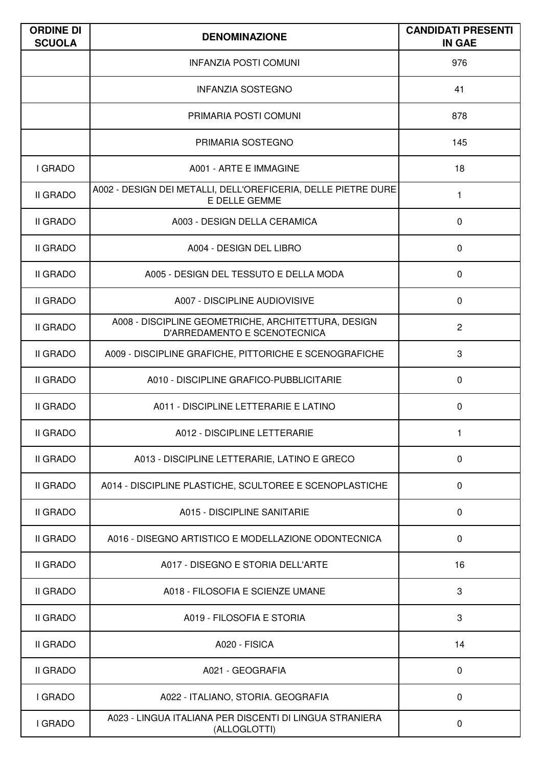| <b>ORDINE DI</b><br><b>SCUOLA</b> | <b>DENOMINAZIONE</b>                                                                | <b>CANDIDATI PRESENTI</b><br><b>IN GAE</b> |
|-----------------------------------|-------------------------------------------------------------------------------------|--------------------------------------------|
|                                   | <b>INFANZIA POSTI COMUNI</b>                                                        | 976                                        |
|                                   | <b>INFANZIA SOSTEGNO</b>                                                            | 41                                         |
|                                   | PRIMARIA POSTI COMUNI                                                               | 878                                        |
|                                   | PRIMARIA SOSTEGNO                                                                   | 145                                        |
| I GRADO                           | A001 - ARTE E IMMAGINE                                                              | 18                                         |
| <b>II GRADO</b>                   | A002 - DESIGN DEI METALLI, DELL'OREFICERIA, DELLE PIETRE DURE<br>E DELLE GEMME      | 1                                          |
| <b>II GRADO</b>                   | A003 - DESIGN DELLA CERAMICA                                                        | 0                                          |
| <b>II GRADO</b>                   | A004 - DESIGN DEL LIBRO                                                             | $\mathbf 0$                                |
| <b>II GRADO</b>                   | A005 - DESIGN DEL TESSUTO E DELLA MODA                                              | $\mathbf 0$                                |
| <b>II GRADO</b>                   | A007 - DISCIPLINE AUDIOVISIVE                                                       | $\mathbf{0}$                               |
| <b>II GRADO</b>                   | A008 - DISCIPLINE GEOMETRICHE, ARCHITETTURA, DESIGN<br>D'ARREDAMENTO E SCENOTECNICA | $\overline{2}$                             |
| <b>II GRADO</b>                   | A009 - DISCIPLINE GRAFICHE, PITTORICHE E SCENOGRAFICHE                              | 3                                          |
| <b>II GRADO</b>                   | A010 - DISCIPLINE GRAFICO-PUBBLICITARIE                                             | $\mathbf 0$                                |
| <b>II GRADO</b>                   | A011 - DISCIPLINE LETTERARIE E LATINO                                               | $\Omega$                                   |
| II GRADO                          | A012 - DISCIPLINE LETTERARIE                                                        | 1                                          |
| <b>II GRADO</b>                   | A013 - DISCIPLINE LETTERARIE, LATINO E GRECO                                        | $\mathbf 0$                                |
| <b>II GRADO</b>                   | A014 - DISCIPLINE PLASTICHE, SCULTOREE E SCENOPLASTICHE                             | $\mathbf 0$                                |
| <b>II GRADO</b>                   | A015 - DISCIPLINE SANITARIE                                                         | $\mathbf 0$                                |
| <b>II GRADO</b>                   | A016 - DISEGNO ARTISTICO E MODELLAZIONE ODONTECNICA                                 | $\mathbf 0$                                |
| <b>II GRADO</b>                   | A017 - DISEGNO E STORIA DELL'ARTE                                                   | 16                                         |
| <b>II GRADO</b>                   | A018 - FILOSOFIA E SCIENZE UMANE                                                    | 3                                          |
| <b>II GRADO</b>                   | A019 - FILOSOFIA E STORIA                                                           | 3                                          |
| <b>II GRADO</b>                   | A020 - FISICA                                                                       | 14                                         |
| <b>II GRADO</b>                   | A021 - GEOGRAFIA                                                                    | $\mathbf 0$                                |
| I GRADO                           | A022 - ITALIANO, STORIA. GEOGRAFIA                                                  | $\mathbf 0$                                |
| I GRADO                           | A023 - LINGUA ITALIANA PER DISCENTI DI LINGUA STRANIERA<br>(ALLOGLOTTI)             | $\mathbf 0$                                |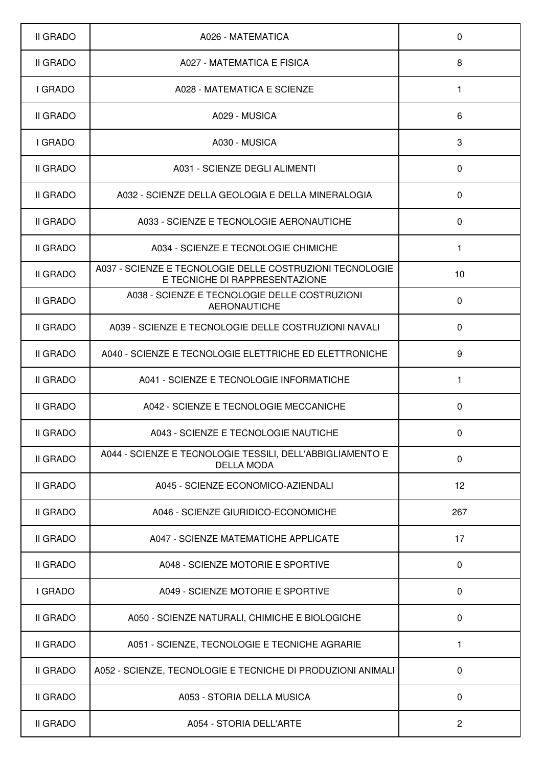| II GRADO        | A026 - MATEMATICA                                                                          | $\mathbf 0$    |
|-----------------|--------------------------------------------------------------------------------------------|----------------|
| II GRADO        | A027 - MATEMATICA E FISICA                                                                 | 8              |
| I GRADO         | A028 - MATEMATICA E SCIENZE                                                                | 1              |
| <b>II GRADO</b> | A029 - MUSICA                                                                              | 6              |
| I GRADO         | A030 - MUSICA                                                                              | 3              |
| II GRADO        | A031 - SCIENZE DEGLI ALIMENTI                                                              | $\mathbf 0$    |
| <b>II GRADO</b> | A032 - SCIENZE DELLA GEOLOGIA E DELLA MINERALOGIA                                          | $\mathbf{0}$   |
| II GRADO        | A033 - SCIENZE E TECNOLOGIE AERONAUTICHE                                                   | $\mathbf{0}$   |
| <b>II GRADO</b> | A034 - SCIENZE E TECNOLOGIE CHIMICHE                                                       | 1              |
| II GRADO        | A037 - SCIENZE E TECNOLOGIE DELLE COSTRUZIONI TECNOLOGIE<br>E TECNICHE DI RAPPRESENTAZIONE | 10             |
| II GRADO        | A038 - SCIENZE E TECNOLOGIE DELLE COSTRUZIONI<br><b>AERONAUTICHE</b>                       | $\mathbf 0$    |
| <b>II GRADO</b> | A039 - SCIENZE E TECNOLOGIE DELLE COSTRUZIONI NAVALI                                       | $\mathbf{0}$   |
| II GRADO        | A040 - SCIENZE E TECNOLOGIE ELETTRICHE ED ELETTRONICHE                                     | 9              |
| II GRADO        | A041 - SCIENZE E TECNOLOGIE INFORMATICHE                                                   | 1              |
| <b>II GRADO</b> | A042 - SCIENZE E TECNOLOGIE MECCANICHE                                                     | $\Omega$       |
| <b>II GRADO</b> | A043 - SCIENZE E TECNOLOGIE NAUTICHE                                                       | 0              |
| <b>II GRADO</b> | A044 - SCIENZE E TECNOLOGIE TESSILI, DELL'ABBIGLIAMENTO E<br><b>DELLA MODA</b>             | $\mathbf 0$    |
| II GRADO        | A045 - SCIENZE ECONOMICO-AZIENDALI                                                         | 12             |
| <b>II GRADO</b> | A046 - SCIENZE GIURIDICO-ECONOMICHE                                                        | 267            |
| II GRADO        | A047 - SCIENZE MATEMATICHE APPLICATE                                                       | 17             |
| II GRADO        | A048 - SCIENZE MOTORIE E SPORTIVE                                                          | $\mathbf 0$    |
| I GRADO         | A049 - SCIENZE MOTORIE E SPORTIVE                                                          | 0              |
| II GRADO        | A050 - SCIENZE NATURALI, CHIMICHE E BIOLOGICHE                                             | $\mathbf 0$    |
| II GRADO        | A051 - SCIENZE, TECNOLOGIE E TECNICHE AGRARIE                                              | 1              |
| II GRADO        | A052 - SCIENZE, TECNOLOGIE E TECNICHE DI PRODUZIONI ANIMALI                                | $\mathbf 0$    |
| II GRADO        | A053 - STORIA DELLA MUSICA                                                                 | $\mathbf 0$    |
| II GRADO        | A054 - STORIA DELL'ARTE                                                                    | $\overline{2}$ |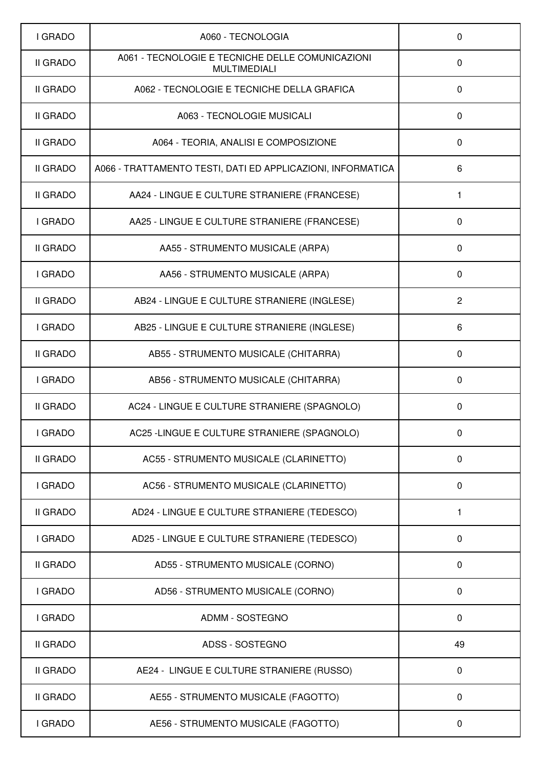| I GRADO         | A060 - TECNOLOGIA                                                       | $\mathbf 0$    |
|-----------------|-------------------------------------------------------------------------|----------------|
| <b>II GRADO</b> | A061 - TECNOLOGIE E TECNICHE DELLE COMUNICAZIONI<br><b>MULTIMEDIALI</b> | $\mathbf{0}$   |
| <b>II GRADO</b> | A062 - TECNOLOGIE E TECNICHE DELLA GRAFICA                              | $\mathbf 0$    |
| <b>II GRADO</b> | A063 - TECNOLOGIE MUSICALI                                              | $\mathbf 0$    |
| <b>II GRADO</b> | A064 - TEORIA, ANALISI E COMPOSIZIONE                                   | $\mathbf 0$    |
| II GRADO        | A066 - TRATTAMENTO TESTI, DATI ED APPLICAZIONI, INFORMATICA             | 6              |
| <b>II GRADO</b> | AA24 - LINGUE E CULTURE STRANIERE (FRANCESE)                            | 1              |
| I GRADO         | AA25 - LINGUE E CULTURE STRANIERE (FRANCESE)                            | $\mathbf 0$    |
| <b>II GRADO</b> | AA55 - STRUMENTO MUSICALE (ARPA)                                        | $\mathbf{0}$   |
| I GRADO         | AA56 - STRUMENTO MUSICALE (ARPA)                                        | $\mathbf 0$    |
| <b>II GRADO</b> | AB24 - LINGUE E CULTURE STRANIERE (INGLESE)                             | $\overline{2}$ |
| I GRADO         | AB25 - LINGUE E CULTURE STRANIERE (INGLESE)                             | 6              |
| <b>II GRADO</b> | AB55 - STRUMENTO MUSICALE (CHITARRA)                                    | $\mathbf 0$    |
| I GRADO         | AB56 - STRUMENTO MUSICALE (CHITARRA)                                    | $\mathbf 0$    |
| <b>II GRADO</b> | AC24 - LINGUE E CULTURE STRANIERE (SPAGNOLO)                            | $\mathbf 0$    |
| I GRADO         | AC25 -LINGUE E CULTURE STRANIERE (SPAGNOLO)                             | 0              |
| <b>II GRADO</b> | AC55 - STRUMENTO MUSICALE (CLARINETTO)                                  | $\mathbf 0$    |
| I GRADO         | AC56 - STRUMENTO MUSICALE (CLARINETTO)                                  | $\mathbf 0$    |
| <b>II GRADO</b> | AD24 - LINGUE E CULTURE STRANIERE (TEDESCO)                             | 1              |
| I GRADO         | AD25 - LINGUE E CULTURE STRANIERE (TEDESCO)                             | $\mathbf 0$    |
| <b>II GRADO</b> | AD55 - STRUMENTO MUSICALE (CORNO)                                       | $\mathbf 0$    |
| I GRADO         | AD56 - STRUMENTO MUSICALE (CORNO)                                       | $\mathbf 0$    |
| I GRADO         | <b>ADMM - SOSTEGNO</b>                                                  | $\mathbf 0$    |
| II GRADO        | ADSS - SOSTEGNO                                                         | 49             |
| <b>II GRADO</b> | AE24 - LINGUE E CULTURE STRANIERE (RUSSO)                               | $\mathbf 0$    |
| <b>II GRADO</b> | AE55 - STRUMENTO MUSICALE (FAGOTTO)                                     | $\mathbf 0$    |
| I GRADO         | AE56 - STRUMENTO MUSICALE (FAGOTTO)                                     | 0              |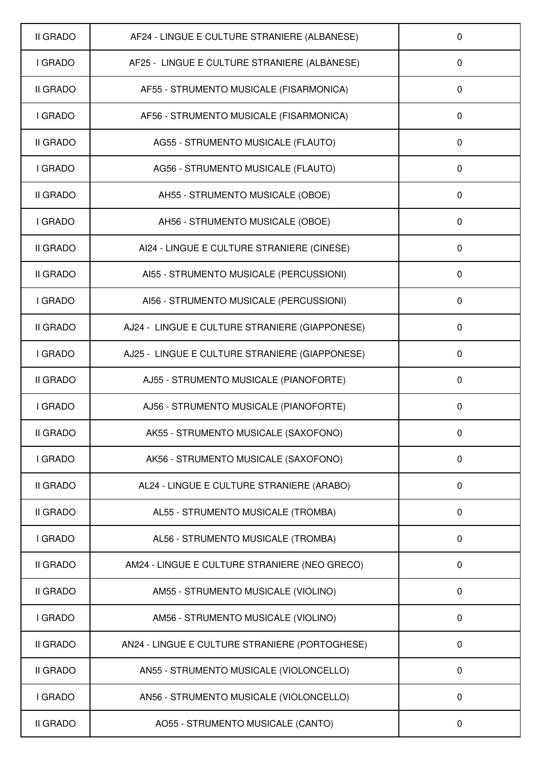| <b>II GRADO</b> | AF24 - LINGUE E CULTURE STRANIERE (ALBANESE)   | 0            |
|-----------------|------------------------------------------------|--------------|
| I GRADO         | AF25 - LINGUE E CULTURE STRANIERE (ALBANESE)   | 0            |
| II GRADO        | AF55 - STRUMENTO MUSICALE (FISARMONICA)        | $\mathbf 0$  |
| I GRADO         | AF56 - STRUMENTO MUSICALE (FISARMONICA)        | $\Omega$     |
| <b>II GRADO</b> | AG55 - STRUMENTO MUSICALE (FLAUTO)             | $\Omega$     |
| I GRADO         | AG56 - STRUMENTO MUSICALE (FLAUTO)             | $\mathbf 0$  |
| II GRADO        | AH55 - STRUMENTO MUSICALE (OBOE)               | 0            |
| <b>I GRADO</b>  | AH56 - STRUMENTO MUSICALE (OBOE)               | $\Omega$     |
| II GRADO        | AI24 - LINGUE E CULTURE STRANIERE (CINESE)     | $\Omega$     |
| II GRADO        | AI55 - STRUMENTO MUSICALE (PERCUSSIONI)        | $\mathbf{0}$ |
| I GRADO         | AI56 - STRUMENTO MUSICALE (PERCUSSIONI)        | $\Omega$     |
| II GRADO        | AJ24 - LINGUE E CULTURE STRANIERE (GIAPPONESE) | $\mathbf 0$  |
| I GRADO         | AJ25 - LINGUE E CULTURE STRANIERE (GIAPPONESE) | $\mathbf 0$  |
| II GRADO        | AJ55 - STRUMENTO MUSICALE (PIANOFORTE)         | $\Omega$     |
| I GRADO         | AJ56 - STRUMENTO MUSICALE (PIANOFORTE)         | $\mathbf 0$  |
| II GRADO        | AK55 - STRUMENTO MUSICALE (SAXOFONO)           | 0            |
| I GRADO         | AK56 - STRUMENTO MUSICALE (SAXOFONO)           | $\mathbf 0$  |
| II GRADO        | AL24 - LINGUE E CULTURE STRANIERE (ARABO)      | $\mathbf 0$  |
| II GRADO        | AL55 - STRUMENTO MUSICALE (TROMBA)             | $\pmb{0}$    |
| I GRADO         | AL56 - STRUMENTO MUSICALE (TROMBA)             | $\mathbf 0$  |
| II GRADO        | AM24 - LINGUE E CULTURE STRANIERE (NEO GRECO)  | $\mathbf 0$  |
| II GRADO        | AM55 - STRUMENTO MUSICALE (VIOLINO)            | 0            |
| I GRADO         | AM56 - STRUMENTO MUSICALE (VIOLINO)            | 0            |
| <b>II GRADO</b> | AN24 - LINGUE E CULTURE STRANIERE (PORTOGHESE) | $\mathbf 0$  |
| II GRADO        | AN55 - STRUMENTO MUSICALE (VIOLONCELLO)        | $\mathbf 0$  |
| I GRADO         | AN56 - STRUMENTO MUSICALE (VIOLONCELLO)        | $\mathbf 0$  |
| II GRADO        | AO55 - STRUMENTO MUSICALE (CANTO)              | 0            |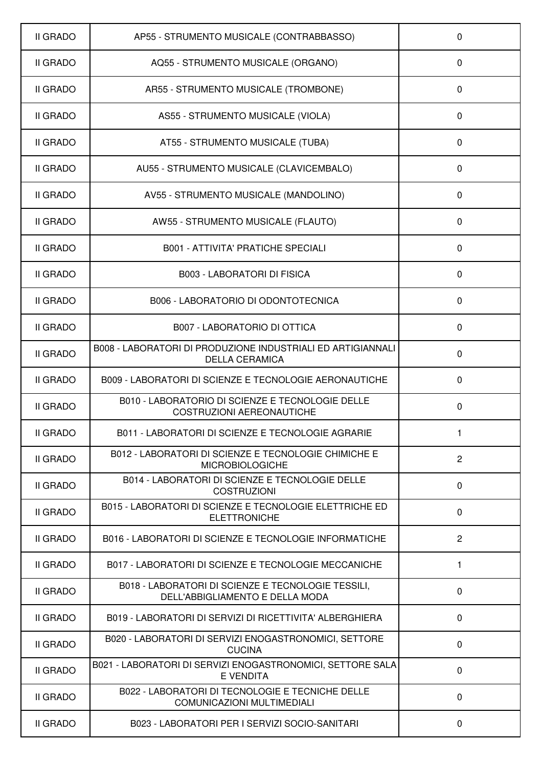| <b>II GRADO</b> | AP55 - STRUMENTO MUSICALE (CONTRABBASSO)                                              | 0              |
|-----------------|---------------------------------------------------------------------------------------|----------------|
| II GRADO        | AQ55 - STRUMENTO MUSICALE (ORGANO)                                                    | $\Omega$       |
| <b>II GRADO</b> | AR55 - STRUMENTO MUSICALE (TROMBONE)                                                  | $\mathbf 0$    |
| <b>II GRADO</b> | AS55 - STRUMENTO MUSICALE (VIOLA)                                                     | 0              |
| <b>II GRADO</b> | AT55 - STRUMENTO MUSICALE (TUBA)                                                      | $\mathbf 0$    |
| <b>II GRADO</b> | AU55 - STRUMENTO MUSICALE (CLAVICEMBALO)                                              | $\mathbf 0$    |
| II GRADO        | AV55 - STRUMENTO MUSICALE (MANDOLINO)                                                 | $\Omega$       |
| <b>II GRADO</b> | AW55 - STRUMENTO MUSICALE (FLAUTO)                                                    | $\mathbf{0}$   |
| II GRADO        | <b>B001 - ATTIVITA' PRATICHE SPECIALI</b>                                             | $\Omega$       |
| <b>II GRADO</b> | <b>B003 - LABORATORI DI FISICA</b>                                                    | $\mathbf 0$    |
| <b>II GRADO</b> | B006 - LABORATORIO DI ODONTOTECNICA                                                   | $\Omega$       |
| <b>II GRADO</b> | <b>B007 - LABORATORIO DI OTTICA</b>                                                   | $\mathbf 0$    |
| <b>II GRADO</b> | B008 - LABORATORI DI PRODUZIONE INDUSTRIALI ED ARTIGIANNALI<br><b>DELLA CERAMICA</b>  | $\Omega$       |
| <b>II GRADO</b> | B009 - LABORATORI DI SCIENZE E TECNOLOGIE AERONAUTICHE                                | $\Omega$       |
| <b>II GRADO</b> | B010 - LABORATORIO DI SCIENZE E TECNOLOGIE DELLE<br><b>COSTRUZIONI AEREONAUTICHE</b>  | $\Omega$       |
| <b>II GRADO</b> | B011 - LABORATORI DI SCIENZE E TECNOLOGIE AGRARIE                                     | 1              |
| <b>II GRADO</b> | B012 - LABORATORI DI SCIENZE E TECNOLOGIE CHIMICHE E<br><b>MICROBIOLOGICHE</b>        | $\overline{2}$ |
| II GRADO        | B014 - LABORATORI DI SCIENZE E TECNOLOGIE DELLE<br><b>COSTRUZIONI</b>                 | $\mathbf 0$    |
| II GRADO        | B015 - LABORATORI DI SCIENZE E TECNOLOGIE ELETTRICHE ED<br><b>ELETTRONICHE</b>        | $\mathbf 0$    |
| II GRADO        | B016 - LABORATORI DI SCIENZE E TECNOLOGIE INFORMATICHE                                | $\overline{2}$ |
| II GRADO        | B017 - LABORATORI DI SCIENZE E TECNOLOGIE MECCANICHE                                  | 1              |
| II GRADO        | B018 - LABORATORI DI SCIENZE E TECNOLOGIE TESSILI,<br>DELL'ABBIGLIAMENTO E DELLA MODA | $\mathbf 0$    |
| <b>II GRADO</b> | B019 - LABORATORI DI SERVIZI DI RICETTIVITA' ALBERGHIERA                              | $\mathbf 0$    |
| <b>II GRADO</b> | B020 - LABORATORI DI SERVIZI ENOGASTRONOMICI, SETTORE<br><b>CUCINA</b>                | $\mathbf 0$    |
| II GRADO        | B021 - LABORATORI DI SERVIZI ENOGASTRONOMICI, SETTORE SALA<br><b>E VENDITA</b>        | $\mathbf 0$    |
| II GRADO        | B022 - LABORATORI DI TECNOLOGIE E TECNICHE DELLE<br>COMUNICAZIONI MULTIMEDIALI        | $\mathbf 0$    |
| II GRADO        | B023 - LABORATORI PER I SERVIZI SOCIO-SANITARI                                        | $\mathbf 0$    |